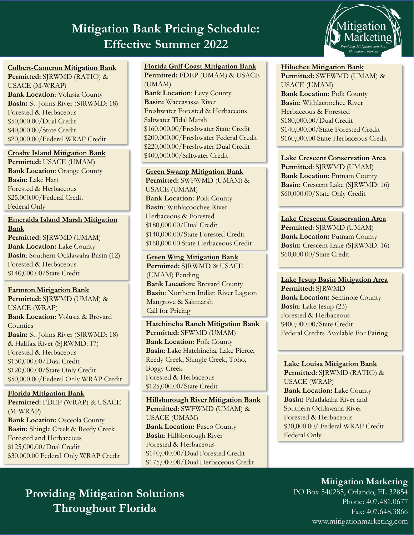## **Mitigation Bank Pricing Schedule:**  $\blacksquare$ **Effective Summer 2022**



#### **Colbert-Cameron Mitigation Bank**

**Permitted:** SJRWMD (RATIO) & USACE (M-WRAP) **Bank Location**: Volusia County **Basin:** St. Johns River (SJRWMD: 18) Forested & Herbaceous \$50,000.00/Dual Credit \$40,000.00/State Credit \$20,000.00/Federal WRAP Credit

#### **Crosby Island Mitigation Bank**

**Permitted:** USACE (UMAM) **Bank Location**: Orange County **Basin:** Lake Hart Forested & Herbaceous \$25,000.00/Federal Credit Federal Only

**Emeralda Island Marsh Mitigation Bank Permitted:** SJRWMD (UMAM) **Bank Location:** Lake County **Basin**: Southern Ocklawaha Basin (12) Forested & Herbaceous \$140,000.00/State Credit

#### **Farmton Mitigation Bank**

**Permitted:** SJRWMD (UMAM) & USACE (WRAP) **Bank Location:** Volusia & Brevard **Counties Basin:** St. Johns River (SJRWMD: 18) & Halifax River (SJRWMD: 17) Forested & Herbaceous \$130,000.00/Dual Credit \$120,000.00/State Only Credit \$50,000.00/Federal Only WRAP Credit

**Florida Mitigation Bank Permitted:** FDEP (WRAP) & USACE (M-WRAP) **Bank Location: Osceola County Basin:** Shingle Creek & Reedy Creek Forested and Herbaceous \$125,000.00/Dual Credit \$30,000.00 Federal Only WRAP Credit

#### **Florida Gulf Coast Mitigation Bank Permitted:** FDEP (UMAM) & USACE (UMAM)

**Bank Location**: Levy County **Basin:** Waccasassa River Freshwater Forested & Herbaceous Saltwater Tidal Marsh \$160,000.00/Freshwater State Credit \$200,000.00/Freshwater Federal Credit \$220,000.00/Freshwater Dual Credit \$400,000.00/Saltwater Credit

#### **Green Swamp Mitigation Bank**

**Permitted:** SWFWMD (UMAM) & USACE (UMAM) **Bank Location:** Polk County **Basin**: Withlacoochee River Herbaceous & Forested \$180,000.00/Dual Credit \$140,000.00/State Forested Credit \$160,000.00 State Herbaceous Credit

#### **Green Wing Mitigation Bank Permitted:** SJRWMD & USACE (UMAM) Pending **Bank Location: Brevard County Basin**: Northern Indian River Lagoon Mangrove & Saltmarsh Call for Pricing

**Hatchineha Ranch Mitigation Bank Permitted:** SFWMD (UMAM) **Bank Location:** Polk County **Basin**: Lake Hatchineha, Lake Pierce, Reedy Creek, Shingle Creek, Toho, Boggy Creek Forested & Herbaceous \$125,000.00/State Credit

**Hillsborough River Mitigation Bank Permitted:** SWFWMD (UMAM) & USACE (UMAM) **Bank Location: Pasco County Basin**: Hillsborough River Forested & Herbaceous \$140,000.00/Dual Forested Credit \$175,000.00/Dual Herbaceous Credit

### **Hilochee Mitigation Bank**

**Permitted:** SWFWMD (UMAM) & USACE (UMAM) **Bank Location:** Polk County **Basin:** Withlacoochee River Herbaceous & Forested \$180,000.00/Dual Credit \$140,000.00/State Forested Credit \$160,000.00 State Herbaceous Credit

**Lake Crescent Conservation Area Permitted**: SJRWMD (UMAM) **Bank Location: Putnam County Basin:** Crescent Lake (SJRWMD: 16) \$60,000.00/State Only Credit

#### **Lake Crescent Conservation Area**

**Permitted**: SJRWMD (UMAM) **Bank Location: Putnam County Basin:** Crescent Lake (SJRWMD: 16) \$60,000.00/State Credit

#### **Lake Jesup Basin Mitigation Area**

**Permitted:** SJRWMD **Bank Location:** Seminole County **Basin**: Lake Jesup (23) Forested & Herbaceous \$400,000.00/State Credit Federal Credits Available For Pairing

#### **Lake Louisa Mitigation Bank Permitted:** SJRWMD (RATIO) & USACE (WRAP) **Bank Location:** Lake County **Basin:** Palatlakaha River and Southern Ocklawaha River Forested & Herbaceous \$30,000.00/ Federal WRAP Credit Federal Only

## **Providing Mitigation Solutions Throughout Florida**

### **Mitigation Marketing**

PO Box 540285, Orlando, FL 32854 Phone: 407.481.0677 Fax: 407.648.3866 www.mitigationmarketing.com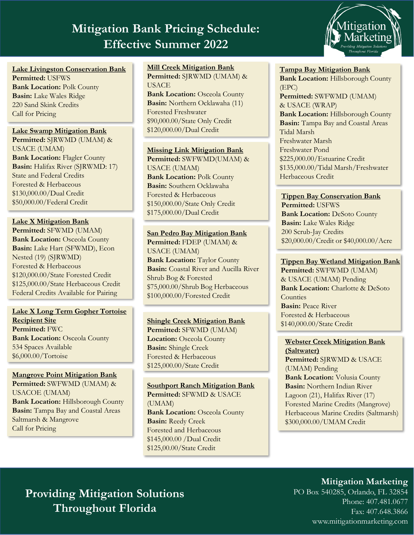# **Providing Mitigation Bank Pricing Schedule:**  $\blacksquare$ **Mitigation Bank Pricing Schedule: Effective Summer 2022**



**Lake Livingston Conservation Bank Permitted:** USFWS **Bank Location:** Polk County **Basin:** Lake Wales Ridge 220 Sand Skink Credits Call for Pricing

#### **Lake Swamp Mitigation Bank**

**Permitted:** SJRWMD (UMAM) & USACE (UMAM) **Bank Location: Flagler County Basin:** Halifax River (SJRWMD: 17) State and Federal Credits Forested & Herbaceous \$130,000.00/Dual Credit \$50,000.00/Federal Credit

**Lake X Mitigation Bank Permitted:** SFWMD (UMAM) **Bank Location: Osceola County Basin:** Lake Hart (SFWMD), Econ Nested (19) (SJRWMD) Forested & Herbaceous \$120,000.00/State Forested Credit \$125,000.00/State Herbaceous Credit Federal Credits Available for Pairing

**Lake X Long Term Gopher Tortoise Recipient Site Permitted:** FWC **Bank Location: Osceola County** 534 Spaces Available \$6,000.00/Tortoise

**Mangrove Point Mitigation Bank Permitted:** SWFWMD (UMAM) & USACOE (UMAM) **Bank Location: Hillsborough County Basin:** Tampa Bay and Coastal Areas Saltmarsh & Mangrove Call for Pricing

**Mill Creek Mitigation Bank Permitted:** SJRWMD (UMAM) & **USACE** 

**Bank Location: Osceola County Basin:** Northern Ocklawaha (11) Forested Freshwater \$90,000.00/State Only Credit \$120,000.00/Dual Credit

**Missing Link Mitigation Bank Permitted:** SWFWMD(UMAM) & USACE (UMAM) **Bank Location: Polk County Basin:** Southern Ocklawaha Forested & Herbaceous \$150,000.00/State Only Credit \$175,000.00/Dual Credit

#### **San Pedro Bay Mitigation Bank Permitted:** FDEP (UMAM) & USACE (UMAM)

**Bank Location: Taylor County Basin:** Coastal River and Aucilla River Shrub Bog & Forested \$75,000.00/Shrub Bog Herbaceous \$100,000.00/Forested Credit

#### **Shingle Creek Mitigation Bank Permitted:** SFWMD (UMAM)

**Location:** Osceola County **Basin:** Shingle Creek Forested & Herbaceous \$125,000.00/State Credit

#### **Southport Ranch Mitigation Bank Permitted:** SFWMD & USACE (UMAM) **Bank Location: Osceola County Basin:** Reedy Creek Forested and Herbaceous \$145,000.00 /Dual Credit \$125,00.00/State Credit

#### **Tampa Bay Mitigation Bank**

**Bank Location:** Hillsborough County (EPC) **Permitted:** SWFWMD (UMAM) & USACE (WRAP) **Bank Location: Hillsborough County Basin:** Tampa Bay and Coastal Areas Tidal Marsh Freshwater Marsh Freshwater Pond \$225,000.00/Estuarine Credit \$135,000.00/Tidal Marsh/Freshwater Herbaceous Credit

#### **Tippen Bay Conservation Bank**

**Permitted:** USFWS **Bank Location: DeSoto County Basin:** Lake Wales Ridge 200 Scrub-Jay Credits \$20,000.00/Credit or \$40,000.00/Acre

#### **Tippen Bay Wetland Mitigation Bank**

**Permitted:** SWFWMD (UMAM) & USACE (UMAM) Pending **Bank Location:** Charlotte & DeSoto **Counties Basin:** Peace River Forested & Herbaceous \$140,000.00/State Credit

### **Webster Creek Mitigation Bank**

**(Saltwater) Permitted:** SJRWMD & USACE (UMAM) Pending **Bank Location:** Volusia County **Basin:** Northern Indian River Lagoon (21), Halifax River (17) Forested Marine Credits (Mangrove) Herbaceous Marine Credits (Saltmarsh) \$300,000.00/UMAM Credit

## **Providing Mitigation Solutions Throughout Florida**

### **Mitigation Marketing**

PO Box 540285, Orlando, FL 32854 Phone: 407.481.0677 Fax: 407.648.3866 www.mitigationmarketing.com